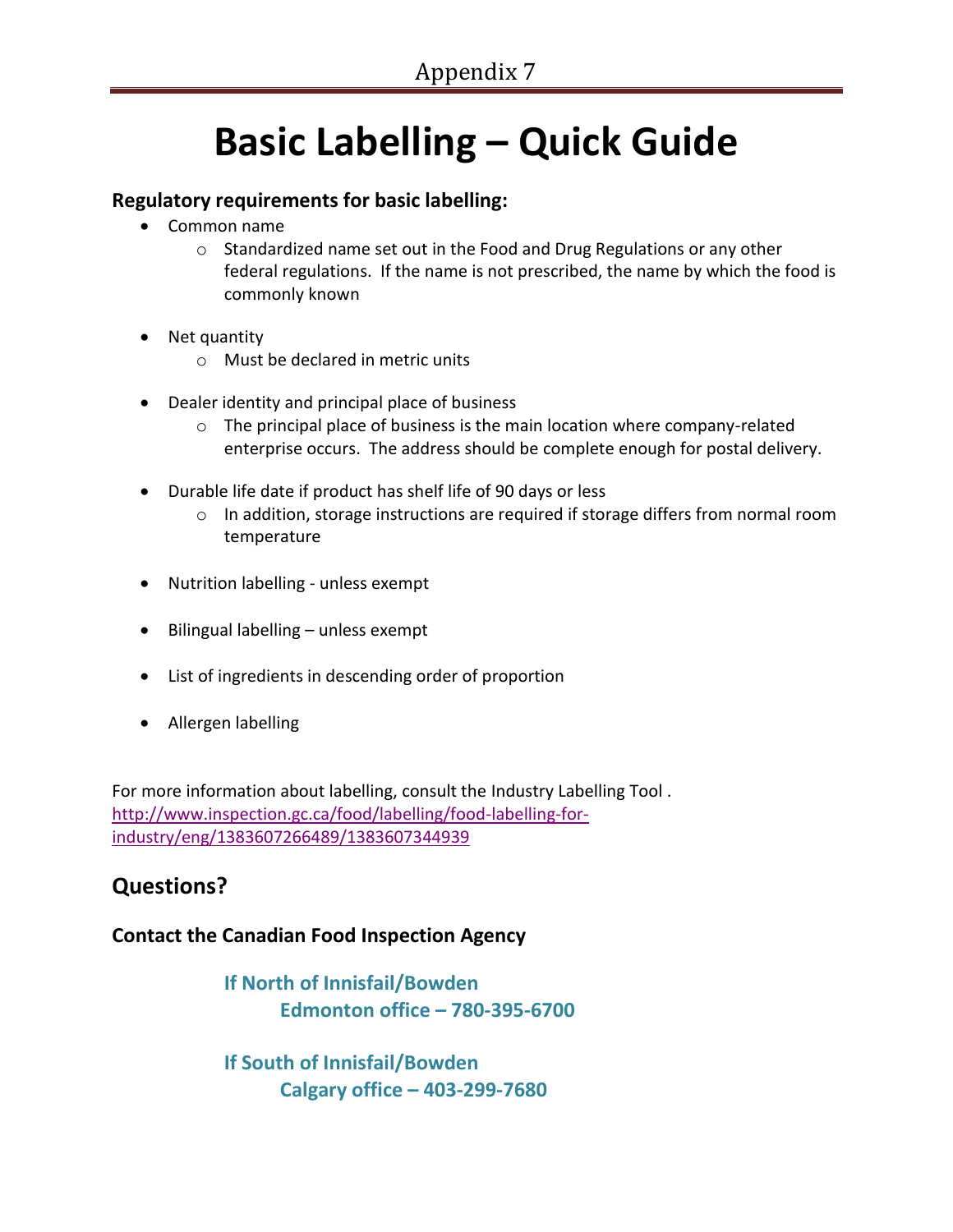## **Basic Labelling – Quick Guide**

### **Regulatory requirements for basic labelling:**

- Common name
	- o Standardized name set out in the Food and Drug Regulations or any other federal regulations. If the name is not prescribed, the name by which the food is commonly known
- Net quantity
	- o Must be declared in metric units
- Dealer identity and principal place of business
	- $\circ$  The principal place of business is the main location where company-related enterprise occurs. The address should be complete enough for postal delivery.
- Durable life date if product has shelf life of 90 days or less
	- $\circ$  In addition, storage instructions are required if storage differs from normal room temperature
- Nutrition labelling unless exempt
- $\bullet$  Bilingual labelling unless exempt
- List of ingredients in descending order of proportion
- Allergen labelling

For more information about labelling, consult the Industry Labelling Tool . [http://www.inspection.gc.ca/food/labelling/food-labelling-for](http://www.inspection.gc.ca/food/labelling/food-labelling-for-industry/eng/1383607266489/1383607344939)[industry/eng/1383607266489/1383607344939](http://www.inspection.gc.ca/food/labelling/food-labelling-for-industry/eng/1383607266489/1383607344939)

## **Questions?**

#### **Contact the Canadian Food Inspection Agency**

**If North of Innisfail/Bowden Edmonton office – 780-395-6700**

**If South of Innisfail/Bowden Calgary office – 403-299-7680**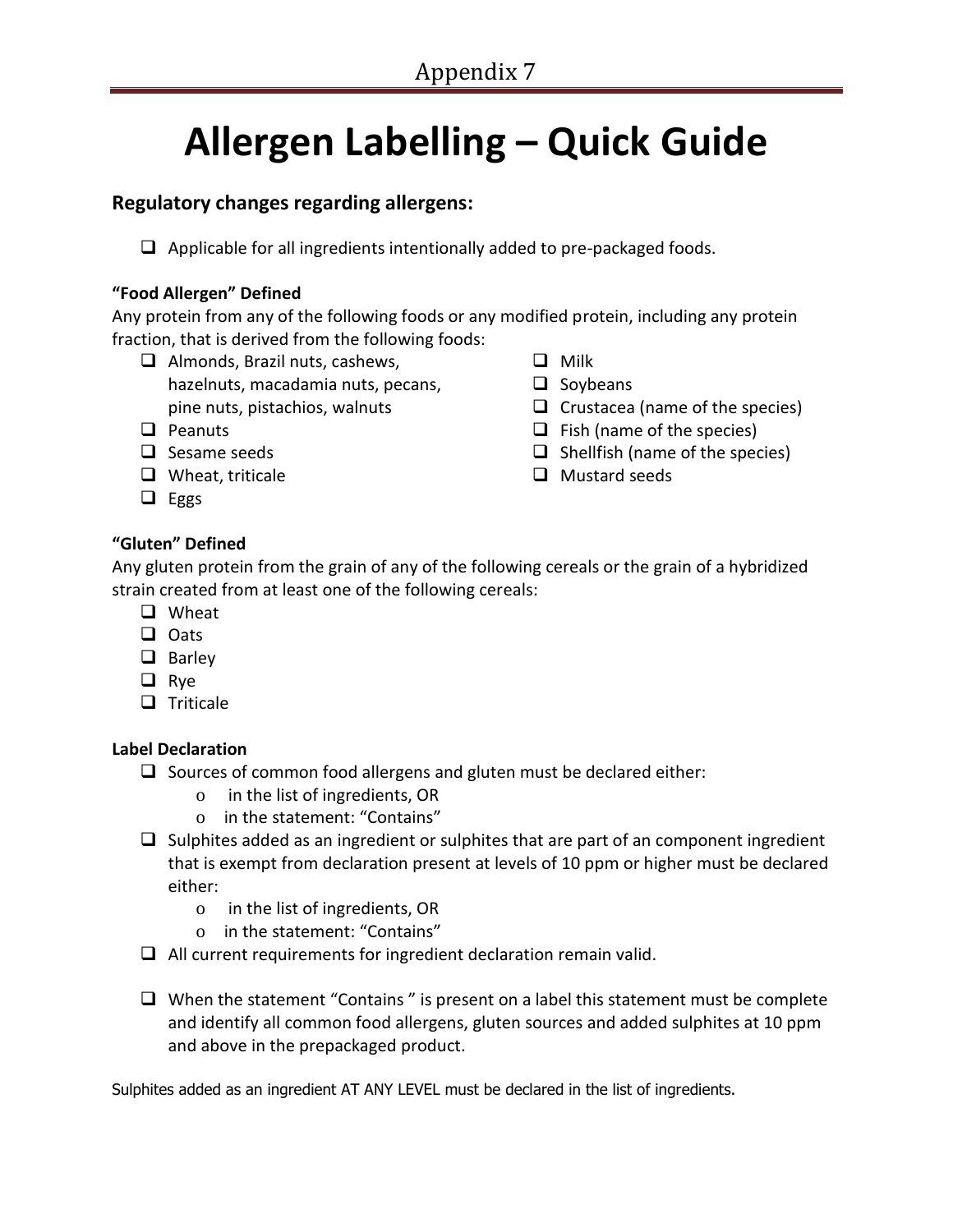# **Allergen Labelling – Quick Guide**

#### **Regulatory changes regarding allergens:**

 $\Box$  Applicable for all ingredients intentionally added to pre-packaged foods.

#### **"Food Allergen" Defined**

Any protein from any of the following foods or any modified protein, including any protein fraction, that is derived from the following foods:

- $\Box$  Almonds, Brazil nuts, cashews, hazelnuts, macadamia nuts, pecans, pine nuts, pistachios, walnuts
- $\Box$  Peanuts
- $\Box$  Sesame seeds
- $\Box$  Wheat, triticale
- $\Box$  Eggs

#### **"Gluten" Defined**

Any gluten protein from the grain of any of the following cereals or the grain of a hybridized strain created from at least one of the following cereals:

- □ Wheat
- **Q** Oats
- $\Box$  Barley
- **Q** Rye
- $\Box$  Triticale

#### **Label Declaration**

- $\Box$  Sources of common food allergens and gluten must be declared either:
	- o in the list of ingredients, OR
	- o in the statement: "Contains"
- $\Box$  Sulphites added as an ingredient or sulphites that are part of an component ingredient that is exempt from declaration present at levels of 10 ppm or higher must be declared either:
	- o in the list of ingredients, OR
	- o in the statement: "Contains"
- $\Box$  All current requirements for ingredient declaration remain valid.
- $\Box$  When the statement "Contains" is present on a label this statement must be complete and identify all common food allergens, gluten sources and added sulphites at 10 ppm and above in the prepackaged product.

Sulphites added as an ingredient AT ANY LEVEL must be declared in the list of ingredients.

- $\Box$  Milk
- $\Box$  Soybeans
- $\Box$  Crustacea (name of the species)
- $\Box$  Fish (name of the species)
- $\Box$  Shellfish (name of the species)
- $\Box$  Mustard seeds